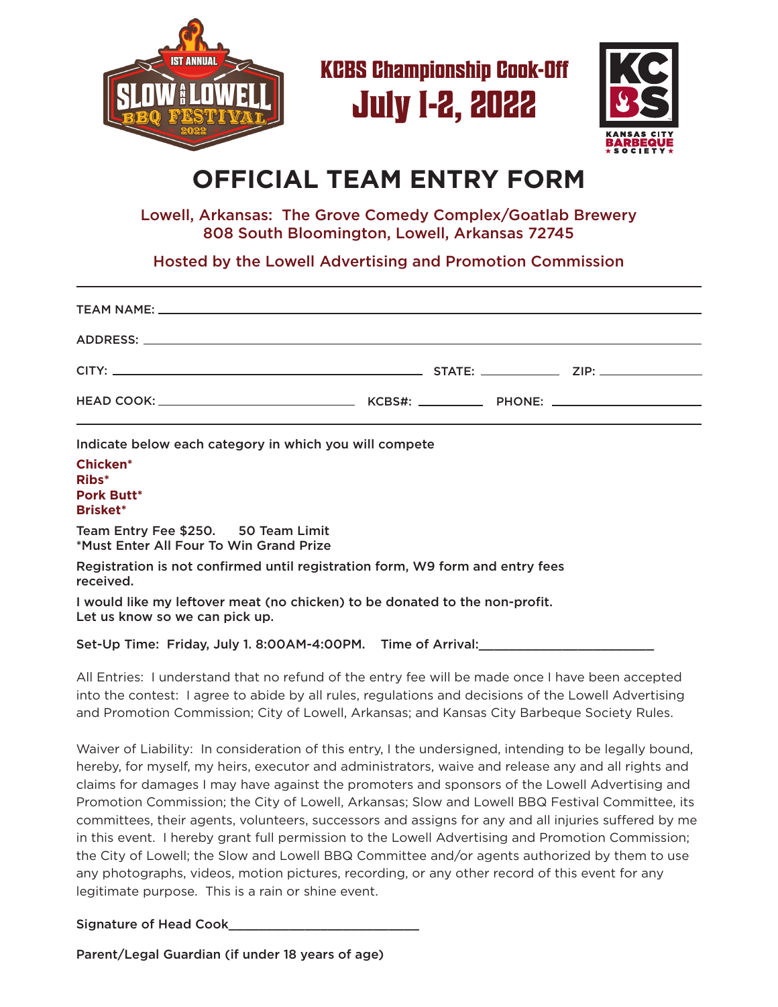

**KCBS Championship Cook-Off July 1-2, 2022**



## **OFFICIAL TEAM ENTRY FORM**

Lowell, Arkansas: The Grove Comedy Complex/Goatlab Brewery 808 South Bloomington, Lowell, Arkansas 72745

Hosted by the Lowell Advertising and Promotion Commission

| ,我们也不会有什么。""我们的人,我们也不会有什么?""我们的人,我们也不会有什么?""我们的人,我们也不会有什么?""我们的人,我们也不会有什么?""我们的人                              |  |  |  |  |
|---------------------------------------------------------------------------------------------------------------|--|--|--|--|
| Indicate below each category in which you will compete                                                        |  |  |  |  |
| Chicken*<br>$Ribs*$<br><b>Pork Butt*</b><br><b>Brisket*</b>                                                   |  |  |  |  |
| Team Entry Fee \$250. 50 Team Limit<br>*Must Enter All Four To Win Grand Prize                                |  |  |  |  |
| Registration is not confirmed until registration form, W9 form and entry fees<br>received.                    |  |  |  |  |
| I would like my leftover meat (no chicken) to be donated to the non-profit.<br>Let us know so we can pick up. |  |  |  |  |
| Set-Up Time: Friday, July 1. 8:00AM-4:00PM. Time of Arrival:____________________                              |  |  |  |  |

All Entries: I understand that no refund of the entry fee will be made once I have been accepted into the contest: I agree to abide by all rules, regulations and decisions of the Lowell Advertising and Promotion Commission; City of Lowell, Arkansas; and Kansas City Barbeque Society Rules.

Waiver of Liability: In consideration of this entry, I the undersigned, intending to be legally bound, hereby, for myself, my heirs, executor and administrators, waive and release any and all rights and claims for damages I may have against the promoters and sponsors of the Lowell Advertising and Promotion Commission; the City of Lowell, Arkansas; Slow and Lowell BBQ Festival Committee, its committees, their agents, volunteers, successors and assigns for any and all injuries suffered by me in this event. I hereby grant full permission to the Lowell Advertising and Promotion Commission; the City of Lowell; the Slow and Lowell BBQ Committee and/or agents authorized by them to use any photographs, videos, motion pictures, recording, or any other record of this event for any legitimate purpose. This is a rain or shine event.

Signature of Head Cook\_\_\_\_\_\_\_\_\_\_\_\_\_\_\_\_\_\_\_\_\_\_\_\_\_

Parent/Legal Guardian (if under 18 years of age)